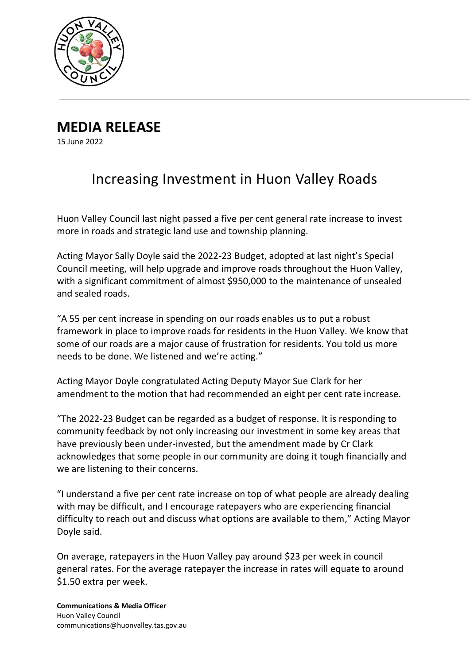

**MEDIA RELEASE**

15 June 2022

## Increasing Investment in Huon Valley Roads

Huon Valley Council last night passed a five per cent general rate increase to invest more in roads and strategic land use and township planning.

Acting Mayor Sally Doyle said the 2022-23 Budget, adopted at last night's Special Council meeting, will help upgrade and improve roads throughout the Huon Valley, with a significant commitment of almost \$950,000 to the maintenance of unsealed and sealed roads.

"A 55 per cent increase in spending on our roads enables us to put a robust framework in place to improve roads for residents in the Huon Valley. We know that some of our roads are a major cause of frustration for residents. You told us more needs to be done. We listened and we're acting."

Acting Mayor Doyle congratulated Acting Deputy Mayor Sue Clark for her amendment to the motion that had recommended an eight per cent rate increase.

"The 2022-23 Budget can be regarded as a budget of response. It is responding to community feedback by not only increasing our investment in some key areas that have previously been under-invested, but the amendment made by Cr Clark acknowledges that some people in our community are doing it tough financially and we are listening to their concerns.

"I understand a five per cent rate increase on top of what people are already dealing with may be difficult, and I encourage ratepayers who are experiencing financial difficulty to reach out and discuss what options are available to them," Acting Mayor Doyle said.

On average, ratepayers in the Huon Valley pay around \$23 per week in council general rates. For the average ratepayer the increase in rates will equate to around \$1.50 extra per week.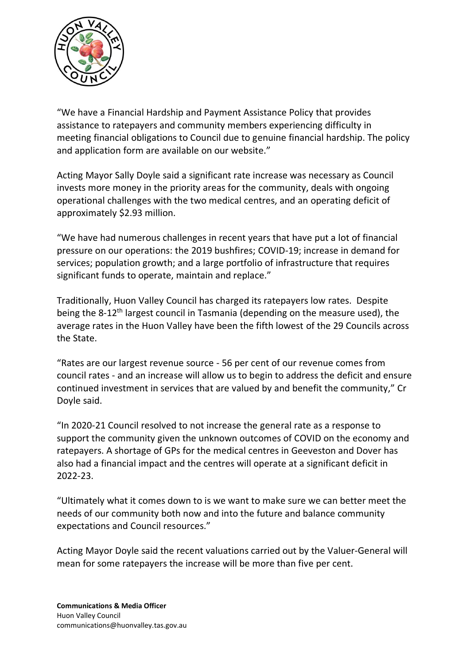

"We have a Financial Hardship and Payment Assistance Policy that provides assistance to ratepayers and community members experiencing difficulty in meeting financial obligations to Council due to genuine financial hardship. The policy and application form are available on our website."

Acting Mayor Sally Doyle said a significant rate increase was necessary as Council invests more money in the priority areas for the community, deals with ongoing operational challenges with the two medical centres, and an operating deficit of approximately \$2.93 million.

"We have had numerous challenges in recent years that have put a lot of financial pressure on our operations: the 2019 bushfires; COVID-19; increase in demand for services; population growth; and a large portfolio of infrastructure that requires significant funds to operate, maintain and replace."

Traditionally, Huon Valley Council has charged its ratepayers low rates. Despite being the 8-12<sup>th</sup> largest council in Tasmania (depending on the measure used), the average rates in the Huon Valley have been the fifth lowest of the 29 Councils across the State.

"Rates are our largest revenue source - 56 per cent of our revenue comes from council rates - and an increase will allow us to begin to address the deficit and ensure continued investment in services that are valued by and benefit the community," Cr Doyle said.

"In 2020-21 Council resolved to not increase the general rate as a response to support the community given the unknown outcomes of COVID on the economy and ratepayers. A shortage of GPs for the medical centres in Geeveston and Dover has also had a financial impact and the centres will operate at a significant deficit in 2022-23.

"Ultimately what it comes down to is we want to make sure we can better meet the needs of our community both now and into the future and balance community expectations and Council resources."

Acting Mayor Doyle said the recent valuations carried out by the Valuer-General will mean for some ratepayers the increase will be more than five per cent.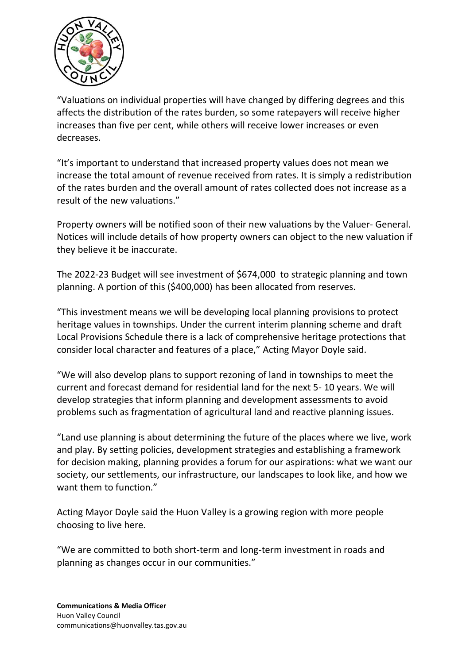

"Valuations on individual properties will have changed by differing degrees and this affects the distribution of the rates burden, so some ratepayers will receive higher increases than five per cent, while others will receive lower increases or even decreases.

"It's important to understand that increased property values does not mean we increase the total amount of revenue received from rates. It is simply a redistribution of the rates burden and the overall amount of rates collected does not increase as a result of the new valuations."

Property owners will be notified soon of their new valuations by the Valuer- General. Notices will include details of how property owners can object to the new valuation if they believe it be inaccurate.

The 2022-23 Budget will see investment of \$674,000 to strategic planning and town planning. A portion of this (\$400,000) has been allocated from reserves.

"This investment means we will be developing local planning provisions to protect heritage values in townships. Under the current interim planning scheme and draft Local Provisions Schedule there is a lack of comprehensive heritage protections that consider local character and features of a place," Acting Mayor Doyle said.

"We will also develop plans to support rezoning of land in townships to meet the current and forecast demand for residential land for the next 5- 10 years. We will develop strategies that inform planning and development assessments to avoid problems such as fragmentation of agricultural land and reactive planning issues.

"Land use planning is about determining the future of the places where we live, work and play. By setting policies, development strategies and establishing a framework for decision making, planning provides a forum for our aspirations: what we want our society, our settlements, our infrastructure, our landscapes to look like, and how we want them to function."

Acting Mayor Doyle said the Huon Valley is a growing region with more people choosing to live here.

"We are committed to both short-term and long-term investment in roads and planning as changes occur in our communities."